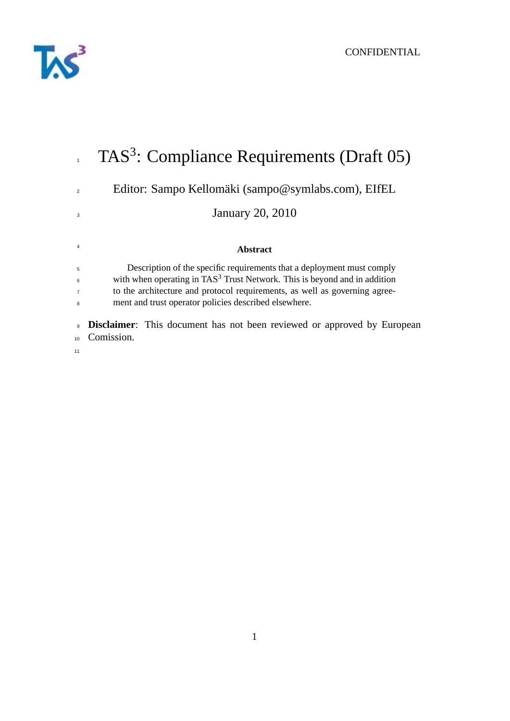

|                | TAS <sup>3</sup> : Compliance Requirements (Draft 05)                                        |
|----------------|----------------------------------------------------------------------------------------------|
| $\overline{2}$ | Editor: Sampo Kellomäki (sampo@symlabs.com), EIfEL                                           |
| 3              | <b>January 20, 2010</b>                                                                      |
| 4              | <b>Abstract</b>                                                                              |
| 5              | Description of the specific requirements that a deployment must comply                       |
| 6              | with when operating in TAS <sup>3</sup> Trust Network. This is beyond and in addition        |
| $\overline{7}$ | to the architecture and protocol requirements, as well as governing agree-                   |
| 8              | ment and trust operator policies described elsewhere.                                        |
| 9<br>10        | <b>Disclaimer:</b> This document has not been reviewed or approved by European<br>Comission. |
| 11             |                                                                                              |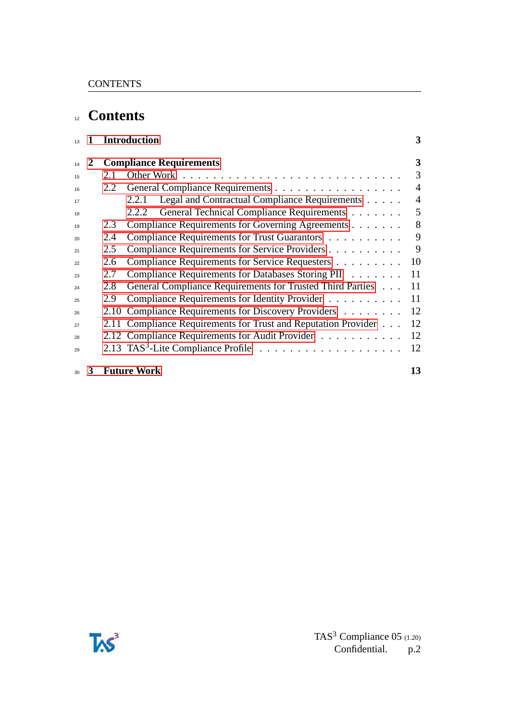# **Contents**

|    | $\mathbf 1$ | <b>Introduction</b> |                                                                |                |
|----|-------------|---------------------|----------------------------------------------------------------|----------------|
|    | 2           |                     | <b>Compliance Requirements</b>                                 | 3              |
| 15 |             | 2.1                 |                                                                | 3              |
| 16 |             | 2.2                 |                                                                | $\overline{4}$ |
| 17 |             |                     | Legal and Contractual Compliance Requirements<br>2.2.1         | $\overline{4}$ |
| 18 |             |                     | General Technical Compliance Requirements<br>2.2.2             | 5              |
| 19 |             | 2.3                 | Compliance Requirements for Governing Agreements               | 8              |
| 20 |             | 2.4                 | Compliance Requirements for Trust Guarantors                   | 9              |
| 21 |             | 2.5                 | Compliance Requirements for Service Providers                  | 9              |
| 22 |             | 2.6                 | Compliance Requirements for Service Requesters                 | 10             |
| 23 |             | 2.7                 | Compliance Requirements for Databases Storing PII              | 11             |
| 24 |             | 2.8                 | General Compliance Requirements for Trusted Third Parties      | 11             |
| 25 |             | 2.9                 | Compliance Requirements for Identity Provider                  | 11             |
| 26 |             |                     | 2.10 Compliance Requirements for Discovery Providers           | 12             |
| 27 |             |                     | 2.11 Compliance Requirements for Trust and Reputation Provider | 12             |
| 28 |             |                     | 2.12 Compliance Requirements for Audit Provider                | 12             |
| 29 |             |                     |                                                                | 12             |
| 30 | 3           |                     | <b>Future Work</b>                                             | 13             |

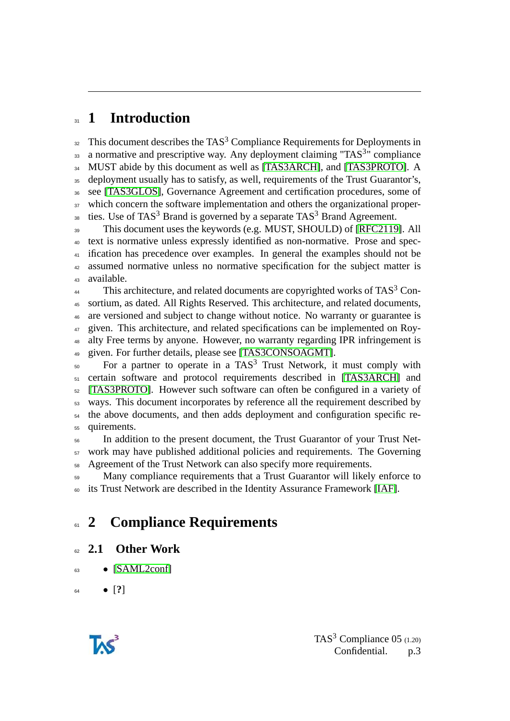# <span id="page-2-0"></span>**1 Introduction**

 $\frac{32}{2}$  This document describes the TAS<sup>3</sup> Compliance Requirements for Deployments in a normative and prescriptive way. Any deployment claiming "TAS<sup>3</sup>" compliance 34 MUST abide by this document as well as [\[TAS3ARCH\]](#page-12-1), and [\[TAS3PROTO\]](#page-12-2). A deployment usually has to satisfy, as well, requirements of the Trust Guarantor's, see [\[TAS3GLOS\]](#page-12-3), Governance Agreement and certification procedures, some of <sup>37</sup> which concern the software implementation and others the organizational proper-38 ties. Use of TAS<sup>3</sup> Brand is governed by a separate TAS<sup>3</sup> Brand Agreement.

 This document uses the keywords (e.g. MUST, SHOULD) of [\[RFC2119\]](#page-15-0). All text is normative unless expressly identified as non-normative. Prose and spec- ification has precedence over examples. In general the examples should not be assumed normative unless no normative specification for the subject matter is available.

 This architecture, and related documents are copyrighted works of TAS<sup>3</sup> Con- sortium, as dated. All Rights Reserved. This architecture, and related documents, are versioned and subject to change without notice. No warranty or guarantee is given. This architecture, and related specifications can be implemented on Roy- alty Free terms by anyone. However, no warranty regarding IPR infringement is given. For further details, please see [\[TAS3CONSOAGMT\]](#page-13-0).

50 For a partner to operate in a TAS<sup>3</sup> Trust Network, it must comply with certain software and protocol requirements described in [\[TAS3ARCH\]](#page-12-1) and [\[TAS3PROTO\]](#page-12-2). However such software can often be configured in a variety of ways. This document incorporates by reference all the requirement described by the above documents, and then adds deployment and configuration specific re-quirements.

 In addition to the present document, the Trust Guarantor of your Trust Net- work may have published additional policies and requirements. The Governing Agreement of the Trust Network can also specify more requirements.

<sub>59</sub> Many compliance requirements that a Trust Guarantor will likely enforce to its Trust Network are described in the Identity Assurance Framework [\[IAF\]](#page-13-1).

# <span id="page-2-1"></span>**2 Compliance Requirements**

#### <span id="page-2-2"></span>**2.1 Other Work**

 $63 \qquad \bullet$  [\[SAML2conf\]](#page-14-0)

• [**?**]

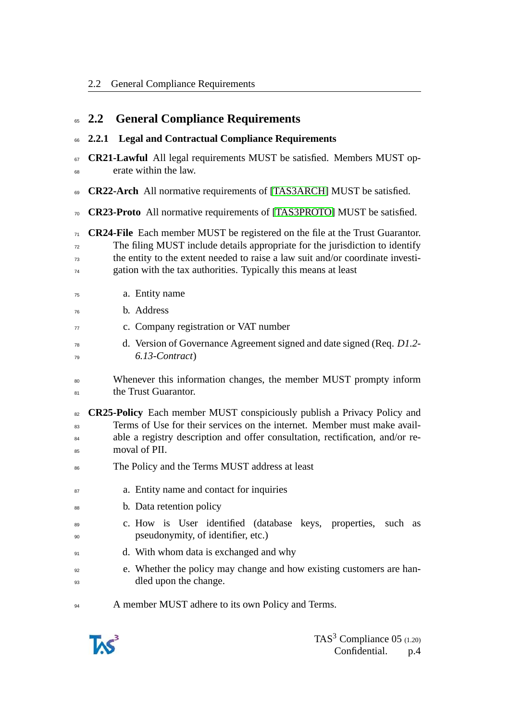<span id="page-3-1"></span><span id="page-3-0"></span>

| 65                   | <b>General Compliance Requirements</b><br>2,2                                                                                                                                                                                                                                                                           |
|----------------------|-------------------------------------------------------------------------------------------------------------------------------------------------------------------------------------------------------------------------------------------------------------------------------------------------------------------------|
| 66                   | <b>Legal and Contractual Compliance Requirements</b><br>2.2.1                                                                                                                                                                                                                                                           |
| 67<br>68             | <b>CR21-Lawful</b> All legal requirements MUST be satisfied. Members MUST op-<br>erate within the law.                                                                                                                                                                                                                  |
| 69                   | <b>CR22-Arch</b> All normative requirements of [TAS3ARCH] MUST be satisfied.                                                                                                                                                                                                                                            |
| 70                   | <b>CR23-Proto</b> All normative requirements of [TAS3PROTO] MUST be satisfied.                                                                                                                                                                                                                                          |
| 71<br>72<br>73<br>74 | <b>CR24-File</b> Each member MUST be registered on the file at the Trust Guarantor.<br>The filing MUST include details appropriate for the jurisdiction to identify<br>the entity to the extent needed to raise a law suit and/or coordinate investi-<br>gation with the tax authorities. Typically this means at least |
| 75                   | a. Entity name                                                                                                                                                                                                                                                                                                          |
| 76                   | b. Address                                                                                                                                                                                                                                                                                                              |
| 77                   | c. Company registration or VAT number                                                                                                                                                                                                                                                                                   |
| 78<br>79             | d. Version of Governance Agreement signed and date signed (Req. D1.2-<br>6.13-Contract)                                                                                                                                                                                                                                 |
| 80<br>81             | Whenever this information changes, the member MUST prompty inform<br>the Trust Guarantor.                                                                                                                                                                                                                               |
| 82<br>83<br>84<br>85 | <b>CR25-Policy</b> Each member MUST conspiciously publish a Privacy Policy and<br>Terms of Use for their services on the internet. Member must make avail-<br>able a registry description and offer consultation, rectification, and/or re-<br>moval of PII.                                                            |
| 86                   | The Policy and the Terms MUST address at least                                                                                                                                                                                                                                                                          |
| 87                   | a. Entity name and contact for inquiries                                                                                                                                                                                                                                                                                |
| 88                   | b. Data retention policy                                                                                                                                                                                                                                                                                                |
| 89<br>90             | c. How is User identified (database keys, properties,<br>such as<br>pseudonymity, of identifier, etc.)                                                                                                                                                                                                                  |
| 91                   | d. With whom data is exchanged and why                                                                                                                                                                                                                                                                                  |
| 92<br>93             | e. Whether the policy may change and how existing customers are han-<br>dled upon the change.                                                                                                                                                                                                                           |
| 94                   | A member MUST adhere to its own Policy and Terms.                                                                                                                                                                                                                                                                       |

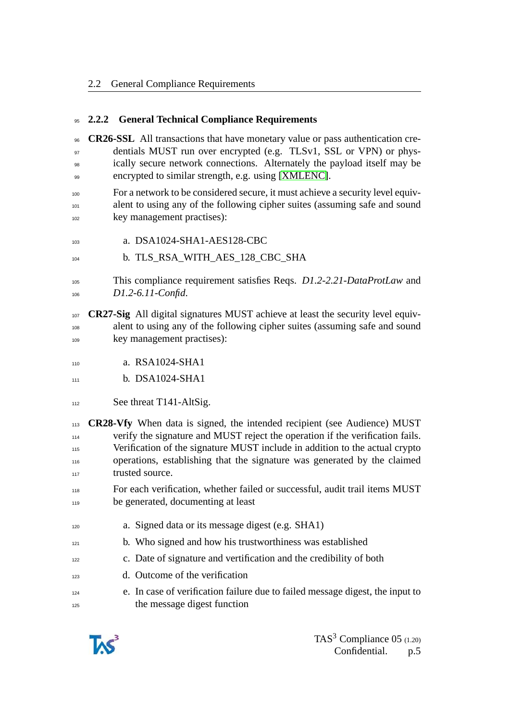#### <span id="page-4-0"></span>**2.2.2 General Technical Compliance Requirements**

 **CR26-SSL** All transactions that have monetary value or pass authentication cre- dentials MUST run over encrypted (e.g. TLSv1, SSL or VPN) or phys-<sup>98</sup> ically secure network connections. Alternately the payload itself may be encrypted to similar strength, e.g. using [\[XMLENC\]](#page-14-1).

 For a network to be considered secure, it must achieve a security level equiv-101 alent to using any of the following cipher suites (assuming safe and sound key management practises):

- a. DSA1024-SHA1-AES128-CBC
- b. TLS\_RSA\_WITH\_AES\_128\_CBC\_SHA

 This compliance requirement satisfies Reqs. *D1.2-2.21-DataProtLaw* and *D1.2-6.11-Confid*.

- **CR27-Sig** All digital signatures MUST achieve at least the security level equiv- alent to using any of the following cipher suites (assuming safe and sound key management practises):
- **a.** RSA1024-SHA1
- **b.** DSA1024-SHA1
- 112 See threat T141-AltSig.

 **CR28-Vfy** When data is signed, the intended recipient (see Audience) MUST verify the signature and MUST reject the operation if the verification fails. 115 Verification of the signature MUST include in addition to the actual crypto operations, establishing that the signature was generated by the claimed trusted source.

- For each verification, whether failed or successful, audit trail items MUST be generated, documenting at least
- a. Signed data or its message digest (e.g. SHA1)
- <sup>121</sup> b. Who signed and how his trustworthiness was established
- c. Date of signature and vertification and the credibility of both
- d. Outcome of the verification
- e. In case of verification failure due to failed message digest, the input to the message digest function

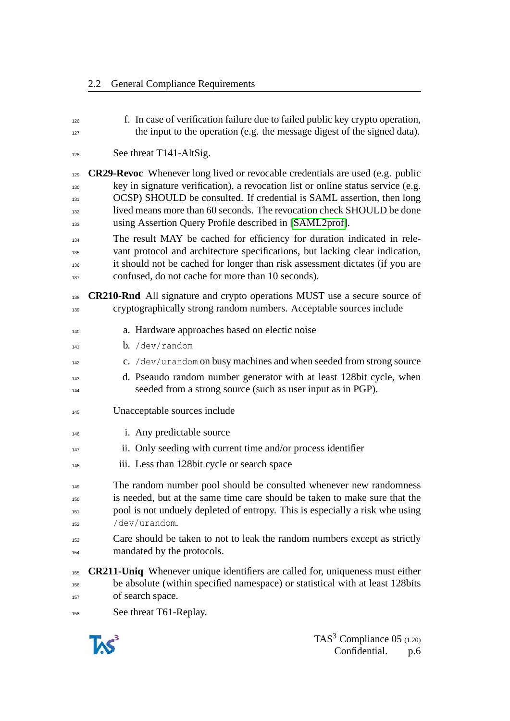| 126<br>127 | f. In case of verification failure due to failed public key crypto operation,<br>the input to the operation (e.g. the message digest of the signed data). |
|------------|-----------------------------------------------------------------------------------------------------------------------------------------------------------|
| 128        | See threat T141-AltSig.                                                                                                                                   |
| 129        | <b>CR29-Revoc</b> Whenever long lived or revocable credentials are used (e.g. public                                                                      |
| 130        | key in signature verification), a revocation list or online status service (e.g.                                                                          |
| 131        | OCSP) SHOULD be consulted. If credential is SAML assertion, then long                                                                                     |
| 132<br>133 | lived means more than 60 seconds. The revocation check SHOULD be done<br>using Assertion Query Profile described in [SAML2prof].                          |
| 134        | The result MAY be cached for efficiency for duration indicated in rele-                                                                                   |
| 135        | vant protocol and architecture specifications, but lacking clear indication,                                                                              |
| 136        | it should not be cached for longer than risk assessment dictates (if you are                                                                              |
| 137        | confused, do not cache for more than 10 seconds).                                                                                                         |
| 138        | <b>CR210-Rnd</b> All signature and crypto operations MUST use a secure source of                                                                          |
| 139        | cryptographically strong random numbers. Acceptable sources include                                                                                       |
| 140        | a. Hardware approaches based on electic noise                                                                                                             |
| 141        | b. / dev/random                                                                                                                                           |
| 142        | c. /dev/urandom on busy machines and when seeded from strong source                                                                                       |
| 143        | d. Pseaudo random number generator with at least 128bit cycle, when                                                                                       |
| 144        | seeded from a strong source (such as user input as in PGP).                                                                                               |
| 145        | Unacceptable sources include                                                                                                                              |
| 146        | i. Any predictable source                                                                                                                                 |
| 147        | ii. Only seeding with current time and/or process identifier                                                                                              |
| 148        | iii. Less than 128 bit cycle or search space                                                                                                              |
| 149        | The random number pool should be consulted whenever new randomness                                                                                        |
| 150        | is needed, but at the same time care should be taken to make sure that the                                                                                |
| 151        | pool is not unduely depleted of entropy. This is especially a risk whe using                                                                              |
| 152        | /dev/urandom.                                                                                                                                             |
| 153        | Care should be taken to not to leak the random numbers except as strictly                                                                                 |
| 154        | mandated by the protocols.                                                                                                                                |
| 155        | <b>CR211-Uniq</b> Whenever unique identifiers are called for, uniqueness must either                                                                      |
| 156        | be absolute (within specified namespace) or statistical with at least 128bits                                                                             |
| 157        | of search space.                                                                                                                                          |
| 158        | See threat T61-Replay.                                                                                                                                    |

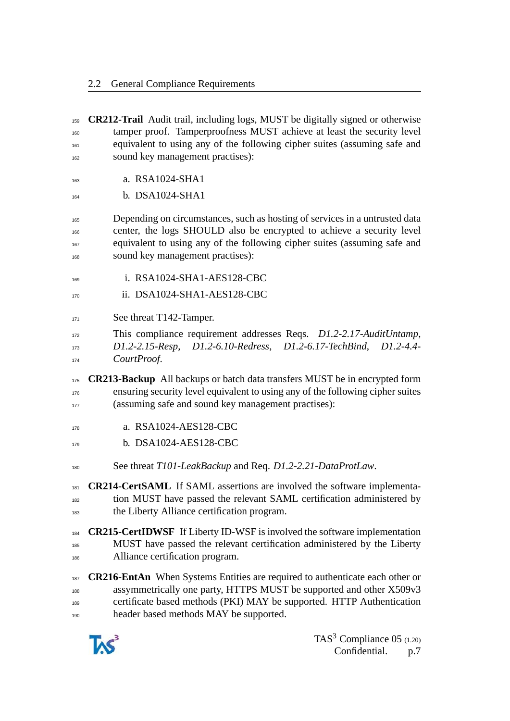**CR212-Trail** Audit trail, including logs, MUST be digitally signed or otherwise tamper proof. Tamperproofness MUST achieve at least the security level equivalent to using any of the following cipher suites (assuming safe and sound key management practises): **a.** RSA1024-SHA1 164 b. DSA1024-SHA1 Depending on circumstances, such as hosting of services in a untrusted data center, the logs SHOULD also be encrypted to achieve a security level equivalent to using any of the following cipher suites (assuming safe and sound key management practises): i. RSA1024-SHA1-AES128-CBC **ii.** DSA1024-SHA1-AES128-CBC 171 See threat T142-Tamper. This compliance requirement addresses Reqs. *D1.2-2.17-AuditUntamp*, *D1.2-2.15-Resp*, *D1.2-6.10-Redress*, *D1.2-6.17-TechBind*, *D1.2-4.4-*  $CourtProof.$  **CR213-Backup** All backups or batch data transfers MUST be in encrypted form ensuring security level equivalent to using any of the following cipher suites (assuming safe and sound key management practises): a. RSA1024-AES128-CBC b. DSA1024-AES128-CBC See threat *T101-LeakBackup* and Req. *D1.2-2.21-DataProtLaw*. **CR214-CertSAML** If SAML assertions are involved the software implementa- tion MUST have passed the relevant SAML certification administered by the Liberty Alliance certification program. **CR215-CertIDWSF** If Liberty ID-WSF is involved the software implementation MUST have passed the relevant certification administered by the Liberty Alliance certification program. **CR216-EntAn** When Systems Entities are required to authenticate each other or assymmetrically one party, HTTPS MUST be supported and other X509v3 certificate based methods (PKI) MAY be supported. HTTP Authentication header based methods MAY be supported.

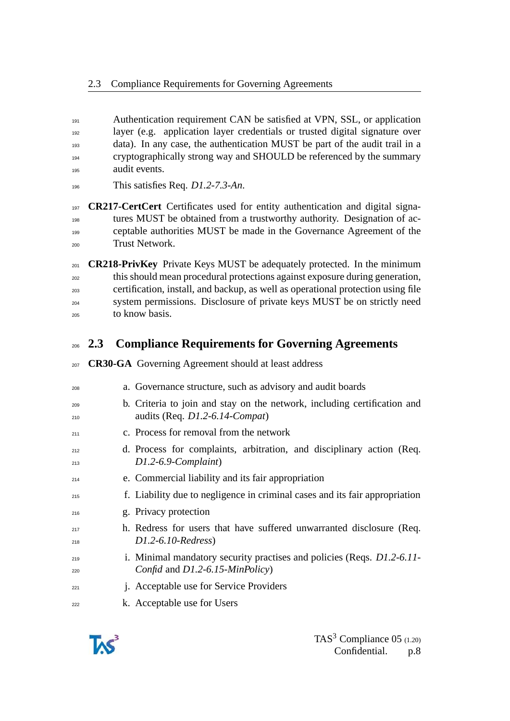- 191 Authentication requirement CAN be satisfied at VPN, SSL, or application layer (e.g. application layer credentials or trusted digital signature over data). In any case, the authentication MUST be part of the audit trail in a cryptographically strong way and SHOULD be referenced by the summary audit events.
- This satisfies Req. *D1.2-7.3-An*.

 **CR217-CertCert** Certificates used for entity authentication and digital signa- tures MUST be obtained from a trustworthy authority. Designation of ac- ceptable authorities MUST be made in the Governance Agreement of the Trust Network.

 **CR218-PrivKey** Private Keys MUST be adequately protected. In the minimum this should mean procedural protections against exposure during generation, certification, install, and backup, as well as operational protection using file system permissions. Disclosure of private keys MUST be on strictly need to know basis.

### <span id="page-7-0"></span>**2.3 Compliance Requirements for Governing Agreements**

- **CR30-GA** Governing Agreement should at least address
- a. Governance structure, such as advisory and audit boards
- b. Criteria to join and stay on the network, including certification and audits (Req. *D1.2-6.14-Compat*)
- **c.** Process for removal from the network
- d. Process for complaints, arbitration, and disciplinary action (Req. *D1.2-6.9-Complaint*)
- e. Commercial liability and its fair appropriation
- f. Liability due to negligence in criminal cases and its fair appropriation
- g. Privacy protection
- 217 h. Redress for users that have suffered unwarranted disclosure (Req. *D1.2-6.10-Redress*)
- i. Minimal mandatory security practises and policies (Reqs. *D1.2-6.11- Confid* and *D1.2-6.15-MinPolicy*)
- j. Acceptable use for Service Providers
- k. Acceptable use for Users

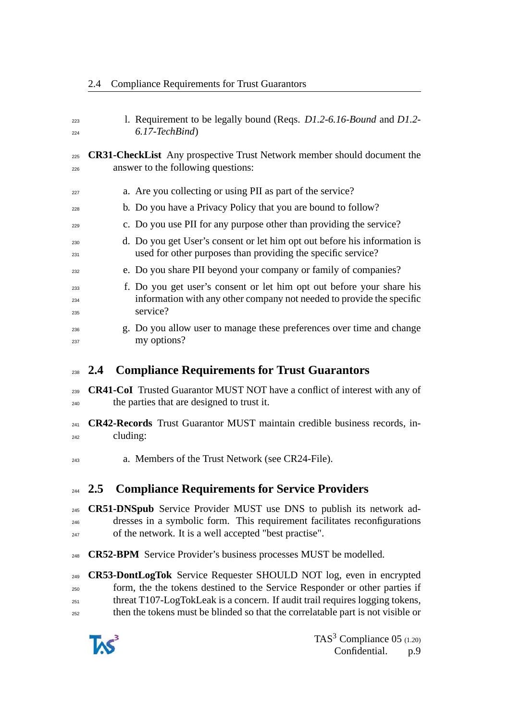| 223        | 1. Requirement to be legally bound (Reqs. D1.2-6.16-Bound and D1.2-                                                                       |  |
|------------|-------------------------------------------------------------------------------------------------------------------------------------------|--|
| 224        | $6.17$ -TechBind)                                                                                                                         |  |
| 225        | <b>CR31-CheckList</b> Any prospective Trust Network member should document the                                                            |  |
| 226        | answer to the following questions:                                                                                                        |  |
| 227        | a. Are you collecting or using PII as part of the service?                                                                                |  |
| 228        | b. Do you have a Privacy Policy that you are bound to follow?                                                                             |  |
| 229        | c. Do you use PII for any purpose other than providing the service?                                                                       |  |
| 230<br>231 | d. Do you get User's consent or let him opt out before his information is<br>used for other purposes than providing the specific service? |  |
| 232        | e. Do you share PII beyond your company or family of companies?                                                                           |  |
| 233        | f. Do you get user's consent or let him opt out before your share his                                                                     |  |
| 234        | information with any other company not needed to provide the specific<br>service?                                                         |  |
| 235        | g. Do you allow user to manage these preferences over time and change                                                                     |  |
| 236<br>237 | my options?                                                                                                                               |  |
|            | 24 Compliance Dequirements for Trust Cuaranters                                                                                           |  |

2.4 Compliance Requirements for Trust Guarantors

# <span id="page-8-0"></span>**2.4 Compliance Requirements for Trust Guarantors**

- **CR41-CoI** Trusted Guarantor MUST NOT have a conflict of interest with any of the parties that are designed to trust it.
- **CR42-Records** Trust Guarantor MUST maintain credible business records, in-cluding:
- a. Members of the Trust Network (see CR24-File).

# <span id="page-8-1"></span>**2.5 Compliance Requirements for Service Providers**

 **CR51-DNSpub** Service Provider MUST use DNS to publish its network ad- dresses in a symbolic form. This requirement facilitates reconfigurations of the network. It is a well accepted "best practise".

**CR52-BPM** Service Provider's business processes MUST be modelled.

 **CR53-DontLogTok** Service Requester SHOULD NOT log, even in encrypted form, the the tokens destined to the Service Responder or other parties if threat T107-LogTokLeak is a concern. If audit trail requires logging tokens, then the tokens must be blinded so that the correlatable part is not visible or

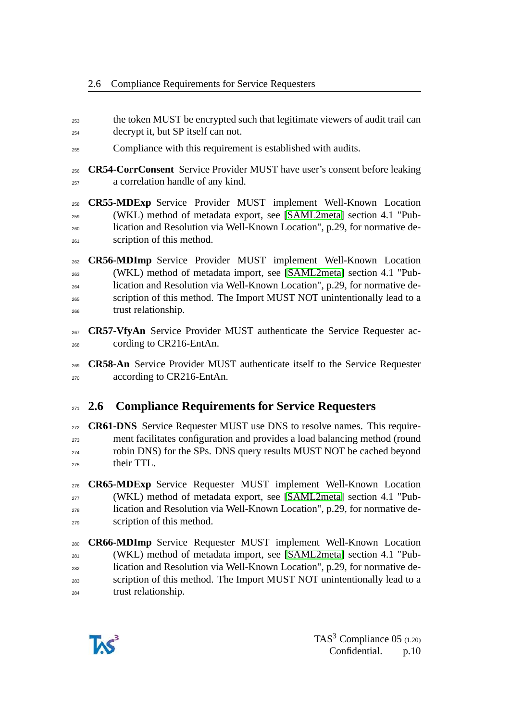- the token MUST be encrypted such that legitimate viewers of audit trail can decrypt it, but SP itself can not.
- Compliance with this requirement is established with audits.
- **CR54-CorrConsent** Service Provider MUST have user's consent before leaking a correlation handle of any kind.

 **CR55-MDExp** Service Provider MUST implement Well-Known Location (WKL) method of metadata export, see [\[SAML2meta\]](#page-14-2) section 4.1 "Pub- lication and Resolution via Well-Known Location", p.29, for normative de-scription of this method.

- **CR56-MDImp** Service Provider MUST implement Well-Known Location (WKL) method of metadata import, see [\[SAML2meta\]](#page-14-2) section 4.1 "Pub- lication and Resolution via Well-Known Location", p.29, for normative de- scription of this method. The Import MUST NOT unintentionally lead to a trust relationship.
- **CR57-VfyAn** Service Provider MUST authenticate the Service Requester ac-cording to CR216-EntAn.
- **CR58-An** Service Provider MUST authenticate itself to the Service Requester according to CR216-EntAn.

### <span id="page-9-0"></span>**2.6 Compliance Requirements for Service Requesters**

 **CR61-DNS** Service Requester MUST use DNS to resolve names. This require- ment facilitates configuration and provides a load balancing method (round robin DNS) for the SPs. DNS query results MUST NOT be cached beyond their TTL.

 **CR65-MDExp** Service Requester MUST implement Well-Known Location (WKL) method of metadata export, see [\[SAML2meta\]](#page-14-2) section 4.1 "Pub- lication and Resolution via Well-Known Location", p.29, for normative de-scription of this method.

 **CR66-MDImp** Service Requester MUST implement Well-Known Location (WKL) method of metadata import, see [\[SAML2meta\]](#page-14-2) section 4.1 "Pub- lication and Resolution via Well-Known Location", p.29, for normative de-<sup>283</sup> scription of this method. The Import MUST NOT unintentionally lead to a trust relationship.

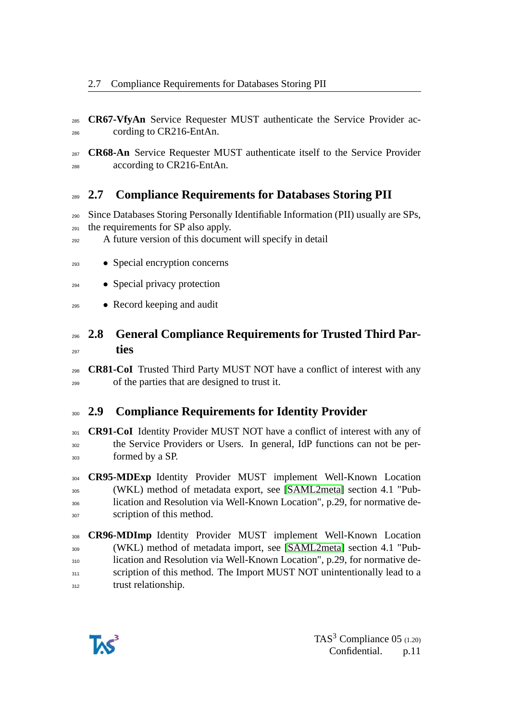- **CR67-VfyAn** Service Requester MUST authenticate the Service Provider ac-cording to CR216-EntAn.
- **CR68-An** Service Requester MUST authenticate itself to the Service Provider according to CR216-EntAn.

# <span id="page-10-0"></span>**2.7 Compliance Requirements for Databases Storing PII**

- Since Databases Storing Personally Identifiable Information (PII) usually are SPs, the requirements for SP also apply.
- A future version of this document will specify in detail
- Special encryption concerns
- Special privacy protection
- Record keeping and audit

### <span id="page-10-1"></span> **2.8 General Compliance Requirements for Trusted Third Par-ties**

 **CR81-CoI** Trusted Third Party MUST NOT have a conflict of interest with any of the parties that are designed to trust it.

### <span id="page-10-2"></span>**2.9 Compliance Requirements for Identity Provider**

**CR91-CoI** Identity Provider MUST NOT have a conflict of interest with any of the Service Providers or Users. In general, IdP functions can not be per-formed by a SP.

 **CR95-MDExp** Identity Provider MUST implement Well-Known Location (WKL) method of metadata export, see [\[SAML2meta\]](#page-14-2) section 4.1 "Pub- lication and Resolution via Well-Known Location", p.29, for normative de-307 scription of this method.

 **CR96-MDImp** Identity Provider MUST implement Well-Known Location (WKL) method of metadata import, see [\[SAML2meta\]](#page-14-2) section 4.1 "Pub- lication and Resolution via Well-Known Location", p.29, for normative de-311 scription of this method. The Import MUST NOT unintentionally lead to a 312 trust relationship.

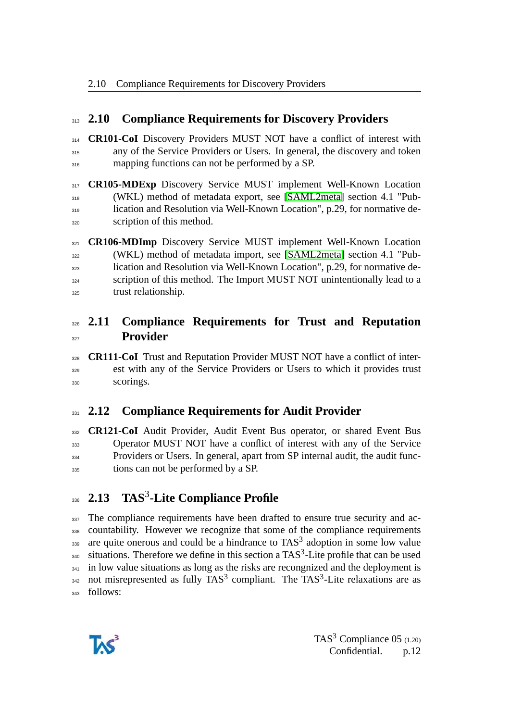#### <span id="page-11-0"></span>**2.10 Compliance Requirements for Discovery Providers**

 **CR101-CoI** Discovery Providers MUST NOT have a conflict of interest with any of the Service Providers or Users. In general, the discovery and token 316 mapping functions can not be performed by a SP.

**CR105-MDExp** Discovery Service MUST implement Well-Known Location (WKL) method of metadata export, see [\[SAML2meta\]](#page-14-2) section 4.1 "Pub- lication and Resolution via Well-Known Location", p.29, for normative de-scription of this method.

 **CR106-MDImp** Discovery Service MUST implement Well-Known Location (WKL) method of metadata import, see [\[SAML2meta\]](#page-14-2) section 4.1 "Pub- lication and Resolution via Well-Known Location", p.29, for normative de-<sup>324</sup> scription of this method. The Import MUST NOT unintentionally lead to a trust relationship.

### <span id="page-11-1"></span> **2.11 Compliance Requirements for Trust and Reputation Provider**

 **CR111-CoI** Trust and Reputation Provider MUST NOT have a conflict of inter- est with any of the Service Providers or Users to which it provides trust scorings.

### <span id="page-11-2"></span>**2.12 Compliance Requirements for Audit Provider**

 **CR121-CoI** Audit Provider, Audit Event Bus operator, or shared Event Bus Operator MUST NOT have a conflict of interest with any of the Service Providers or Users. In general, apart from SP internal audit, the audit func-tions can not be performed by a SP.

# <span id="page-11-3"></span>**2.13 TAS**<sup>3</sup> **-Lite Compliance Profile**

337 The compliance requirements have been drafted to ensure true security and ac- countability. However we recognize that some of the compliance requirements are quite onerous and could be a hindrance to TAS<sup>3</sup> adoption in some low value  $_{340}$  situations. Therefore we define in this section a TAS<sup>3</sup>-Lite profile that can be used <sup>341</sup> in low value situations as long as the risks are recongnized and the deployment is not misrepresented as fully TAS<sup>3</sup> compliant. The TAS<sup>3</sup>-Lite relaxations are as follows:

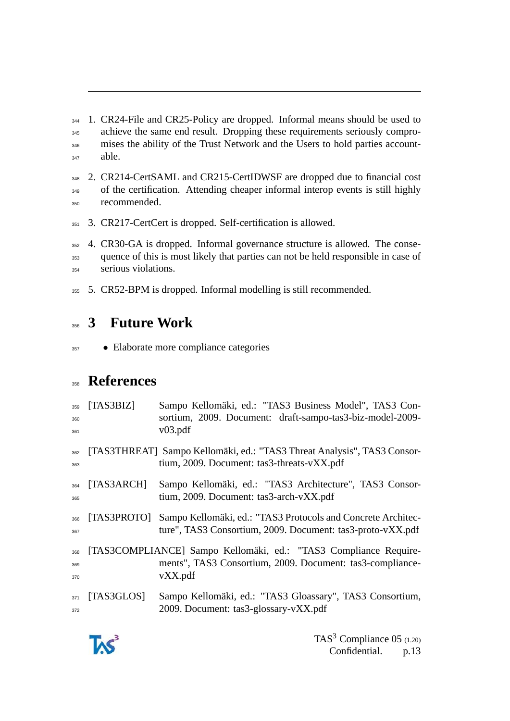1. CR24-File and CR25-Policy are dropped. Informal means should be used to 345 achieve the same end result. Dropping these requirements seriously compro- mises the ability of the Trust Network and the Users to hold parties account $able$ .

 2. CR214-CertSAML and CR215-CertIDWSF are dropped due to financial cost of the certification. Attending cheaper informal interop events is still highly recommended.

3. CR217-CertCert is dropped. Self-certification is allowed.

 4. CR30-GA is dropped. Informal governance structure is allowed. The conse- quence of this is most likely that parties can not be held responsible in case of serious violations.

5. CR52-BPM is dropped. Informal modelling is still recommended.

# <span id="page-12-0"></span>**3 Future Work**

• Elaborate more compliance categories

# **References**

<span id="page-12-2"></span><span id="page-12-1"></span>

| 359<br>360<br>361 | [TAS3BIZ]   | Sampo Kellomäki, ed.: "TAS3 Business Model", TAS3 Con-<br>sortium, 2009. Document: draft-sampo-tas3-biz-model-2009-<br>v03.pdf           |
|-------------------|-------------|------------------------------------------------------------------------------------------------------------------------------------------|
| 362<br>363        |             | [TAS3THREAT] Sampo Kellomäki, ed.: "TAS3 Threat Analysis", TAS3 Consor-<br>tium, 2009. Document: tas3-threats-vXX.pdf                    |
| 364<br>365        | [TAS3ARCH]  | Sampo Kellomäki, ed.: "TAS3 Architecture", TAS3 Consor-<br>tium, 2009. Document: tas3-arch-vXX.pdf                                       |
| 366<br>367        | [TAS3PROTO] | Sampo Kellomäki, ed.: "TAS3 Protocols and Concrete Architec-<br>ture", TAS3 Consortium, 2009. Document: tas3-proto-vXX.pdf               |
| 368<br>369<br>370 |             | [TAS3COMPLIANCE] Sampo Kellomäki, ed.: "TAS3 Compliance Require-<br>ments", TAS3 Consortium, 2009. Document: tas3-compliance-<br>vXX.pdf |
| 371<br>372        | [TAS3GLOS]  | Sampo Kellomäki, ed.: "TAS3 Gloassary", TAS3 Consortium,<br>2009. Document: tas3-glossary-vXX.pdf                                        |

<span id="page-12-3"></span>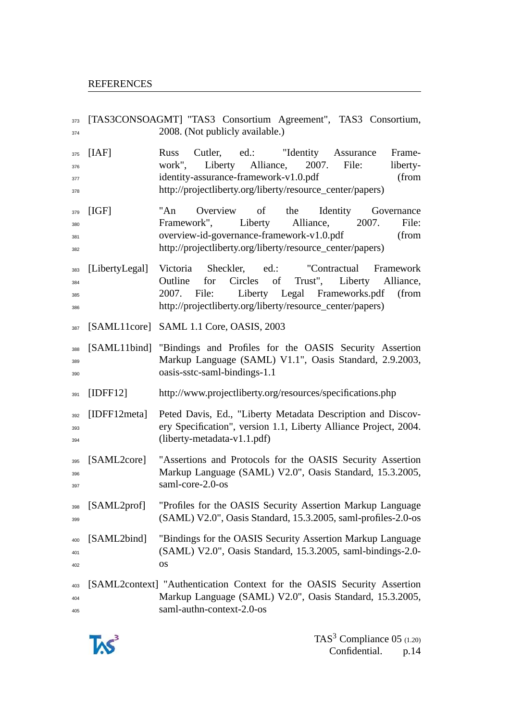<span id="page-13-1"></span><span id="page-13-0"></span> [TAS3CONSOAGMT] "TAS3 Consortium Agreement", TAS3 Consortium, <sup>374</sup> 2008. (Not publicly available.) [IAF] Russ Cutler, ed.: "Identity Assurance Frame- work", Liberty Alliance, 2007. File: liberty-<sup>377</sup> identity-assurance-framework-v1.0.pdf (from http://projectliberty.org/liberty/resource\_center/papers) 379 [IGF] "An Overview of the Identity Governance Framework", Liberty Alliance, 2007. File: overview-id-governance-framework-v1.0.pdf (from http://projectliberty.org/liberty/resource\_center/papers) [LibertyLegal] Victoria Sheckler, ed.: "Contractual Framework Outline for Circles of Trust", Liberty Alliance, 2007. File: Liberty Legal Frameworks.pdf (from http://projectliberty.org/liberty/resource\_center/papers) [SAML11core] SAML 1.1 Core, OASIS, 2003 [SAML11bind] "Bindings and Profiles for the OASIS Security Assertion Markup Language (SAML) V1.1", Oasis Standard, 2.9.2003, oasis-sstc-saml-bindings-1.1 [IDFF12] http://www.projectliberty.org/resources/specifications.php [IDFF12meta] Peted Davis, Ed., "Liberty Metadata Description and Discovery Specification", version 1.1, Liberty Alliance Project, 2004. (liberty-metadata-v1.1.pdf) [SAML2core] "Assertions and Protocols for the OASIS Security Assertion Markup Language (SAML) V2.0", Oasis Standard, 15.3.2005, saml-core-2.0-os [SAML2prof] "Profiles for the OASIS Security Assertion Markup Language (SAML) V2.0", Oasis Standard, 15.3.2005, saml-profiles-2.0-os [SAML2bind] "Bindings for the OASIS Security Assertion Markup Language (SAML) V2.0", Oasis Standard, 15.3.2005, saml-bindings-2.0- OS [SAML2context] "Authentication Context for the OASIS Security Assertion Markup Language (SAML) V2.0", Oasis Standard, 15.3.2005, saml-authn-context-2.0-os

<span id="page-13-2"></span>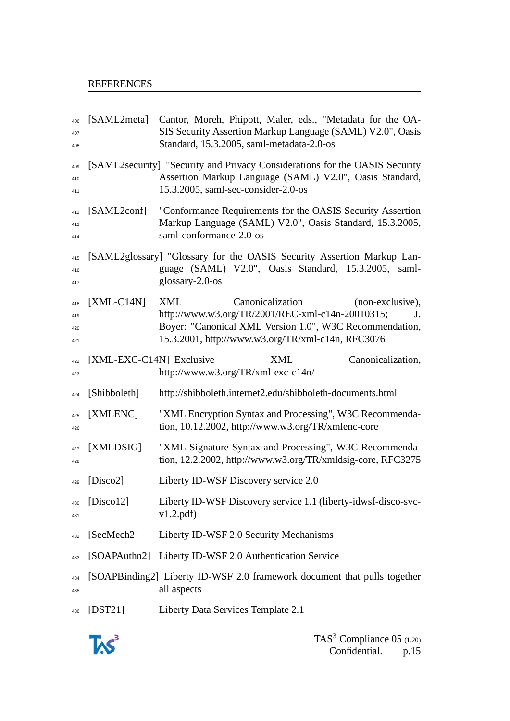#### REFERENCES

<span id="page-14-2"></span><span id="page-14-0"></span>

| 406<br>407<br>408        | [SAML2meta]              | Cantor, Moreh, Phipott, Maler, eds., "Metadata for the OA-<br>SIS Security Assertion Markup Language (SAML) V2.0", Oasis<br>Standard, 15.3.2005, saml-metadata-2.0-os                                                        |
|--------------------------|--------------------------|------------------------------------------------------------------------------------------------------------------------------------------------------------------------------------------------------------------------------|
| 409<br>410<br>411        |                          | [SAML2security] "Security and Privacy Considerations for the OASIS Security<br>Assertion Markup Language (SAML) V2.0", Oasis Standard,<br>15.3.2005, saml-sec-consider-2.0-os                                                |
| 412<br>413<br>414        | [SAML2conf]              | "Conformance Requirements for the OASIS Security Assertion<br>Markup Language (SAML) V2.0", Oasis Standard, 15.3.2005,<br>saml-conformance-2.0-os                                                                            |
| 415<br>416<br>417        |                          | [SAML2glossary] "Glossary for the OASIS Security Assertion Markup Lan-<br>guage (SAML) V2.0", Oasis Standard, 15.3.2005, saml-<br>glossary- $2.0$ -os                                                                        |
| 418<br>419<br>420<br>421 | $[XML-C14N]$             | <b>XML</b><br>Canonicalization<br>(non-exclusive),<br>http://www.w3.org/TR/2001/REC-xml-c14n-20010315;<br>J.<br>Boyer: "Canonical XML Version 1.0", W3C Recommendation,<br>15.3.2001, http://www.w3.org/TR/xml-c14n, RFC3076 |
| 422<br>423               | [XML-EXC-C14N] Exclusive | <b>XML</b><br>Canonicalization,<br>http://www.w3.org/TR/xml-exc-c14n/                                                                                                                                                        |
| 424                      | [Shibboleth]             | http://shibboleth.internet2.edu/shibboleth-documents.html                                                                                                                                                                    |
| 425<br>426               | [XMLENC]                 | "XML Encryption Syntax and Processing", W3C Recommenda-<br>tion, 10.12.2002, http://www.w3.org/TR/xmlenc-core                                                                                                                |
| 427<br>428               | [XMLDSIG]                | "XML-Signature Syntax and Processing", W3C Recommenda-<br>tion, 12.2.2002, http://www.w3.org/TR/xmldsig-core, RFC3275                                                                                                        |
| 429                      | [Disco2]                 | Liberty ID-WSF Discovery service 2.0                                                                                                                                                                                         |
| 430<br>431               | [ $Discount2$ ]          | Liberty ID-WSF Discovery service 1.1 (liberty-idwsf-disco-svc-<br>v1.2.pdf                                                                                                                                                   |
| 432                      | [SecMech2]               | Liberty ID-WSF 2.0 Security Mechanisms                                                                                                                                                                                       |
| 433                      |                          | [SOAPAuthn2] Liberty ID-WSF 2.0 Authentication Service                                                                                                                                                                       |
| 434<br>435               |                          | [SOAPBinding2] Liberty ID-WSF 2.0 framework document that pulls together<br>all aspects                                                                                                                                      |
| 436                      | $[$ DST21]               | Liberty Data Services Template 2.1                                                                                                                                                                                           |

<span id="page-14-1"></span>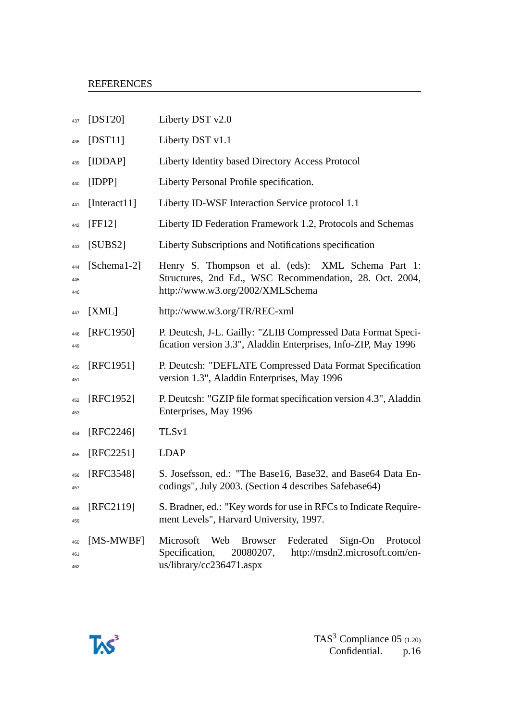#### REFERENCES

| 437               | $[$ DST20 $]$   | Liberty DST v2.0                                                                                                                                                    |
|-------------------|-----------------|---------------------------------------------------------------------------------------------------------------------------------------------------------------------|
| 438               | $[$ DST11]      | Liberty DST v1.1                                                                                                                                                    |
| 439               | [IDDAP]         | Liberty Identity based Directory Access Protocol                                                                                                                    |
| 440               | [IDPP]          | Liberty Personal Profile specification.                                                                                                                             |
| 441               | [Interact11]    | Liberty ID-WSF Interaction Service protocol 1.1                                                                                                                     |
| 442               | [FF12]          | Liberty ID Federation Framework 1.2, Protocols and Schemas                                                                                                          |
| 443               | [SUBS2]         | Liberty Subscriptions and Notifications specification                                                                                                               |
| 444<br>445<br>446 | [Schema $1-2$ ] | Henry S. Thompson et al. (eds): XML Schema Part 1:<br>Structures, 2nd Ed., WSC Recommendation, 28. Oct. 2004,<br>http://www.w3.org/2002/XMLSchema                   |
| 447               | [XML]           | http://www.w3.org/TR/REC-xml                                                                                                                                        |
| 448<br>449        | [RFC1950]       | P. Deutcsh, J-L. Gailly: "ZLIB Compressed Data Format Speci-<br>fication version 3.3", Aladdin Enterprises, Info-ZIP, May 1996                                      |
| 450<br>451        | [RFC1951]       | P. Deutcsh: "DEFLATE Compressed Data Format Specification<br>version 1.3", Aladdin Enterprises, May 1996                                                            |
| 452<br>453        | [RFC1952]       | P. Deutcsh: "GZIP file format specification version 4.3", Aladdin<br>Enterprises, May 1996                                                                          |
| 454               | $[RFC2246]$     | TLS <sub>v1</sub>                                                                                                                                                   |
| 455               | [RFC2251]       | <b>LDAP</b>                                                                                                                                                         |
| 456<br>457        | [RFC3548]       | S. Josefsson, ed.: "The Base16, Base32, and Base64 Data En-<br>codings", July 2003. (Section 4 describes Safebase64)                                                |
| 458<br>459        | [RFC2119]       | S. Bradner, ed.: "Key words for use in RFCs to Indicate Require-<br>ment Levels", Harvard University, 1997.                                                         |
| 460<br>461<br>462 | [MS-MWBF]       | Microsoft<br>Web<br><b>Browser</b><br>Federated<br>Sign-On<br>Protocol<br>http://msdn2.microsoft.com/en-<br>Specification,<br>20080207,<br>us/library/cc236471.aspx |

<span id="page-15-0"></span>